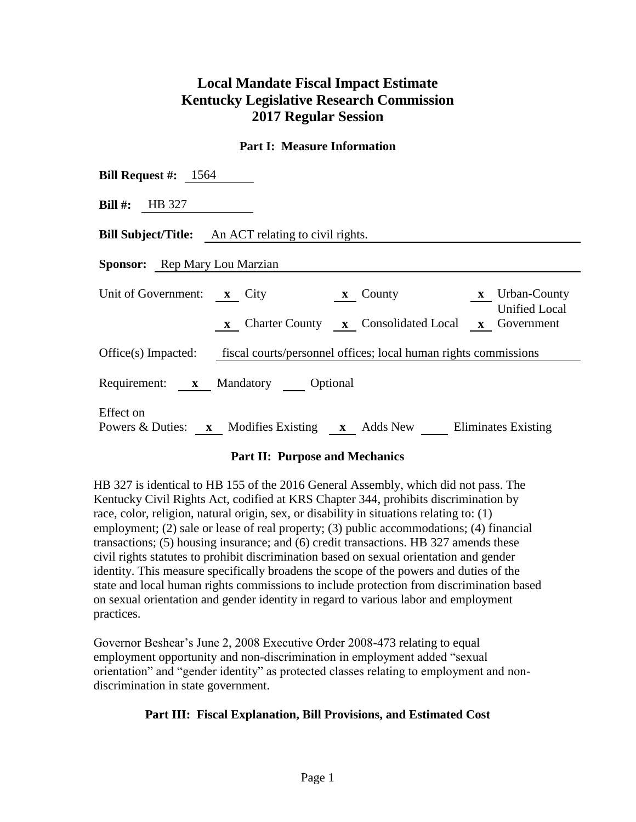## **Local Mandate Fiscal Impact Estimate Kentucky Legislative Research Commission 2017 Regular Session**

## **Part I: Measure Information**

| <b>Bill Request #:</b> 1564                                                                                                                                                       |  |  |  |  |  |  |
|-----------------------------------------------------------------------------------------------------------------------------------------------------------------------------------|--|--|--|--|--|--|
| <b>Bill #:</b> HB 327                                                                                                                                                             |  |  |  |  |  |  |
| <b>Bill Subject/Title:</b> An ACT relating to civil rights.                                                                                                                       |  |  |  |  |  |  |
| <b>Sponsor:</b> Rep Mary Lou Marzian                                                                                                                                              |  |  |  |  |  |  |
| Unit of Government: x City<br><b>x</b> Urban-County<br>$\boldsymbol{x}$ County<br><b>Unified Local</b><br><b>x</b> Charter County <b>x</b> Consolidated Local <b>x</b> Government |  |  |  |  |  |  |
| Office(s) Impacted: fiscal courts/personnel offices; local human rights commissions                                                                                               |  |  |  |  |  |  |
| Requirement: x Mandatory Optional                                                                                                                                                 |  |  |  |  |  |  |
| Effect on<br>Powers & Duties: x Modifies Existing x Adds New Eliminates Existing                                                                                                  |  |  |  |  |  |  |

## **Part II: Purpose and Mechanics**

HB 327 is identical to HB 155 of the 2016 General Assembly, which did not pass. The Kentucky Civil Rights Act, codified at KRS Chapter 344, prohibits discrimination by race, color, religion, natural origin, sex, or disability in situations relating to: (1) employment; (2) sale or lease of real property; (3) public accommodations; (4) financial transactions; (5) housing insurance; and (6) credit transactions. HB 327 amends these civil rights statutes to prohibit discrimination based on sexual orientation and gender identity. This measure specifically broadens the scope of the powers and duties of the state and local human rights commissions to include protection from discrimination based on sexual orientation and gender identity in regard to various labor and employment practices.

Governor Beshear's June 2, 2008 Executive Order 2008-473 relating to equal employment opportunity and non-discrimination in employment added "sexual orientation" and "gender identity" as protected classes relating to employment and nondiscrimination in state government.

## **Part III: Fiscal Explanation, Bill Provisions, and Estimated Cost**